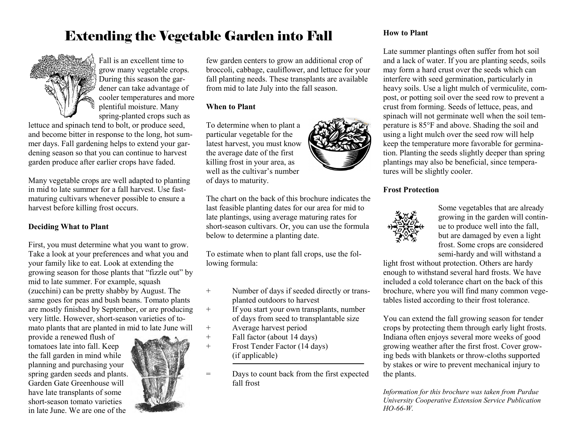## Extending the Vegetable Garden into Fall



Fall is an excellent time to grow many vegetable crops. During this season the gardener can take advantage of cooler temperatures and more plentiful moisture. Many spring-planted crops such as

lettuce and spinach tend to bolt, or produce seed, and become bitter in response to the long, hot summer days. Fall gardening helps to extend your gardening season so that you can continue to harvest garden produce after earlier crops have faded.

Many vegetable crops are well adapted to planting in mid to late summer for a fall harvest. Use fastmaturing cultivars whenever possible to ensure a harvest before killing frost occurs.

#### **Deciding What to Plant**

First, you must determine what you want to grow. Take a look at your preferences and what you and your family like to eat. Look at extending the growing season for those plants that "fizzle out" by mid to late summer. For example, squash (zucchini) can be pretty shabby by August. The same goes for peas and bush beans. Tomato plants are mostly finished by September, or are producing very little. However, short-season varieties of tomato plants that are planted in mid to late June will

provide a renewed flush of tomatoes late into fall. Keep the fall garden in mind while planning and purchasing your spring garden seeds and plants. Garden Gate Greenhouse will have late transplants of some short-season tomato varieties in late June. We are one of the



few garden centers to grow an additional crop of broccoli, cabbage, cauliflower, and lettuce for your fall planting needs. These transplants are available from mid to late July into the fall season.

#### **When to Plant**

To determine when to plant a particular vegetable for the latest harvest, you must know the average date of the first killing frost in your area, as well as the cultivar's number of days to maturity.

The chart on the back of this brochure indicates the last feasible planting dates for our area for mid to late plantings, using average maturing rates for short-season cultivars. Or, you can use the formula below to determine a planting date.

To estimate when to plant fall crops, use the following formula:

- + Number of days if seeded directly or transplanted outdoors to harvest
- + If you start your own transplants, number of days from seed to transplantable size
- + Average harvest period
- + Fall factor (about 14 days)
- + Frost Tender Factor (14 days) (if applicable)
- = Days to count back from the first expected fall frost

#### **How to Plant**

Late summer plantings often suffer from hot soil and a lack of water. If you are planting seeds, soils may form a hard crust over the seeds which can interfere with seed germination, particularly in heavy soils. Use a light mulch of vermiculite, compost, or potting soil over the seed row to prevent a crust from forming. Seeds of lettuce, peas, and spinach will not germinate well when the soil temperature is 85°F and above. Shading the soil and using a light mulch over the seed row will help keep the temperature more favorable for germination. Planting the seeds slightly deeper than spring plantings may also be beneficial, since temperatures will be slightly cooler.

#### **Frost Protection**



Some vegetables that are already growing in the garden will continue to produce well into the fall, but are damaged by even a light frost. Some crops are considered semi-hardy and will withstand a

light frost without protection. Others are hardy enough to withstand several hard frosts. We have included a cold tolerance chart on the back of this brochure, where you will find many common vegetables listed according to their frost tolerance.

You can extend the fall growing season for tender crops by protecting them through early light frosts. Indiana often enjoys several more weeks of good growing weather after the first frost. Cover growing beds with blankets or throw-cloths supported by stakes or wire to prevent mechanical injury to the plants.

*Information for this brochure was taken from Purdue University Cooperative Extension Service Publication HO-66-W.*